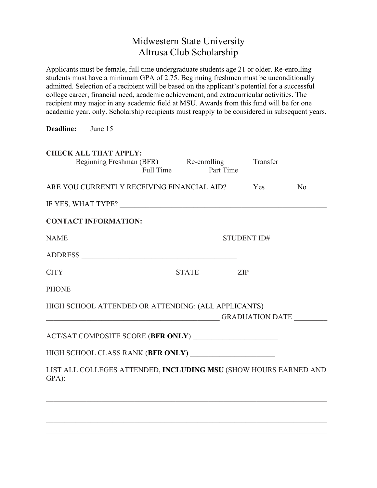## Midwestern State University Altrusa Club Scholarship

Applicants must be female, full time undergraduate students age 21 or older. Re-enrolling students must have a minimum GPA of 2.75. Beginning freshmen must be unconditionally admitted. Selection of a recipient will be based on the applicant's potential for a successful college career, financial need, academic achievement, and extracurricular activities. The recipient may major in any academic field at MSU. Awards from this fund will be for one academic year. only. Scholarship recipients must reapply to be considered in subsequent years.

**Deadline:** June 15

| <b>CHECK ALL THAT APPLY:</b><br>Beginning Freshman (BFR) Re-enrolling<br>Full Time | Part Time | Transfer |                |
|------------------------------------------------------------------------------------|-----------|----------|----------------|
| ARE YOU CURRENTLY RECEIVING FINANCIAL AID?                                         |           | Yes      | N <sub>o</sub> |
| IF YES, WHAT TYPE? $\_$ $\_$                                                       |           |          |                |
| <b>CONTACT INFORMATION:</b>                                                        |           |          |                |
|                                                                                    |           |          |                |
|                                                                                    |           |          |                |
| $CITY$ $STATE$ $ZIP$                                                               |           |          |                |
|                                                                                    |           |          |                |
| HIGH SCHOOL ATTENDED OR ATTENDING: (ALL APPLICANTS)                                |           |          |                |
|                                                                                    |           |          |                |
|                                                                                    |           |          |                |
| LIST ALL COLLEGES ATTENDED, INCLUDING MSU (SHOW HOURS EARNED AND<br>GPA):          |           |          |                |
|                                                                                    |           |          |                |
|                                                                                    |           |          |                |
|                                                                                    |           |          |                |
|                                                                                    |           |          |                |